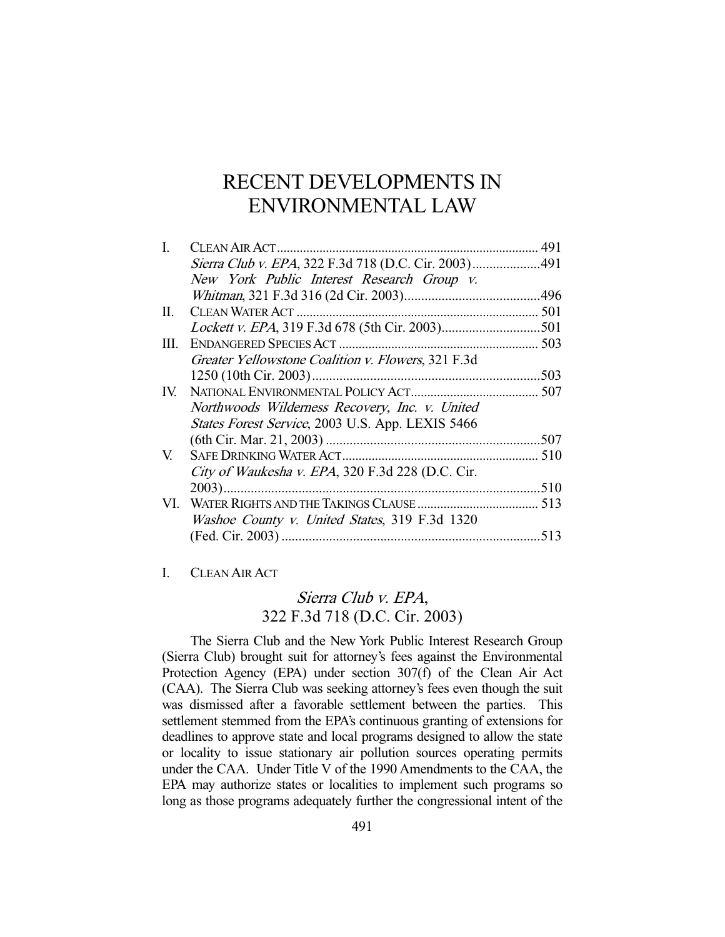# RECENT DEVELOPMENTS IN ENVIRONMENTAL LAW

| Ι.   |                                                    |  |
|------|----------------------------------------------------|--|
|      |                                                    |  |
|      | New York Public Interest Research Group v.         |  |
|      |                                                    |  |
| П.   |                                                    |  |
|      |                                                    |  |
| III. |                                                    |  |
|      | Greater Yellowstone Coalition v. Flowers, 321 F.3d |  |
|      |                                                    |  |
|      |                                                    |  |
|      | Northwoods Wilderness Recovery, Inc. v. United     |  |
|      | States Forest Service, 2003 U.S. App. LEXIS 5466   |  |
|      |                                                    |  |
| V.   |                                                    |  |
|      | City of Waukesha v. EPA, 320 F.3d 228 (D.C. Cir.   |  |
|      |                                                    |  |
|      |                                                    |  |
|      | Washoe County v. United States, 319 F.3d 1320      |  |
|      |                                                    |  |
|      |                                                    |  |

#### I. CLEAN AIR ACT

# Sierra Club v. EPA, 322 F.3d 718 (D.C. Cir. 2003)

 The Sierra Club and the New York Public Interest Research Group (Sierra Club) brought suit for attorney's fees against the Environmental Protection Agency (EPA) under section 307(f) of the Clean Air Act (CAA). The Sierra Club was seeking attorney's fees even though the suit was dismissed after a favorable settlement between the parties. This settlement stemmed from the EPA's continuous granting of extensions for deadlines to approve state and local programs designed to allow the state or locality to issue stationary air pollution sources operating permits under the CAA. Under Title V of the 1990 Amendments to the CAA, the EPA may authorize states or localities to implement such programs so long as those programs adequately further the congressional intent of the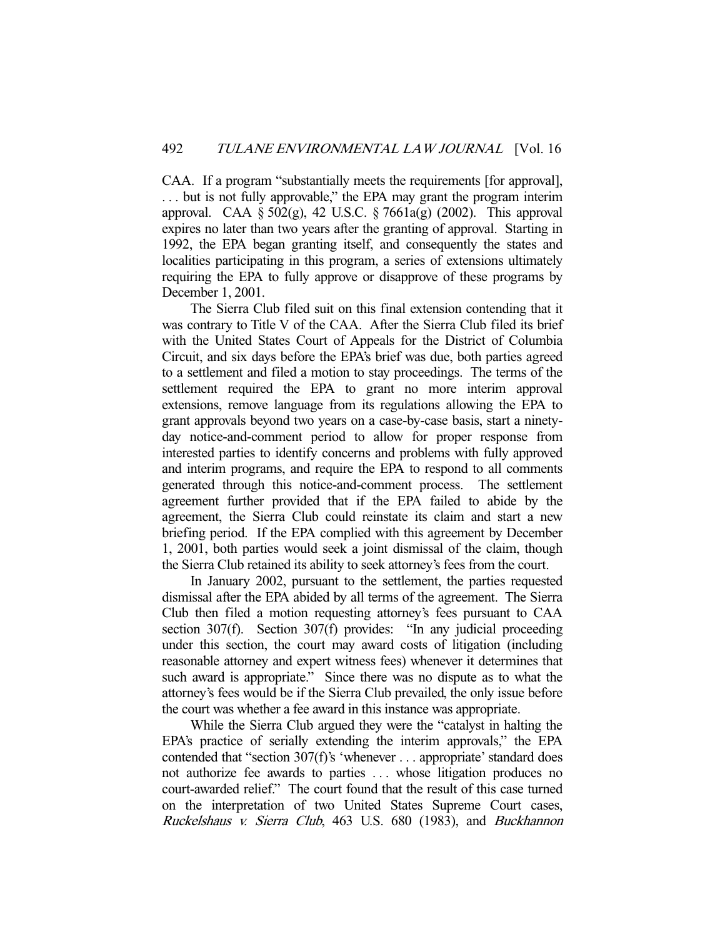CAA. If a program "substantially meets the requirements [for approval], . . . but is not fully approvable," the EPA may grant the program interim approval. CAA  $\S 502(g)$ , 42 U.S.C.  $\S 7661a(g)$  (2002). This approval expires no later than two years after the granting of approval. Starting in 1992, the EPA began granting itself, and consequently the states and localities participating in this program, a series of extensions ultimately requiring the EPA to fully approve or disapprove of these programs by December 1, 2001.

 The Sierra Club filed suit on this final extension contending that it was contrary to Title V of the CAA. After the Sierra Club filed its brief with the United States Court of Appeals for the District of Columbia Circuit, and six days before the EPA's brief was due, both parties agreed to a settlement and filed a motion to stay proceedings. The terms of the settlement required the EPA to grant no more interim approval extensions, remove language from its regulations allowing the EPA to grant approvals beyond two years on a case-by-case basis, start a ninetyday notice-and-comment period to allow for proper response from interested parties to identify concerns and problems with fully approved and interim programs, and require the EPA to respond to all comments generated through this notice-and-comment process. The settlement agreement further provided that if the EPA failed to abide by the agreement, the Sierra Club could reinstate its claim and start a new briefing period. If the EPA complied with this agreement by December 1, 2001, both parties would seek a joint dismissal of the claim, though the Sierra Club retained its ability to seek attorney's fees from the court.

 In January 2002, pursuant to the settlement, the parties requested dismissal after the EPA abided by all terms of the agreement. The Sierra Club then filed a motion requesting attorney's fees pursuant to CAA section 307(f). Section 307(f) provides: "In any judicial proceeding under this section, the court may award costs of litigation (including reasonable attorney and expert witness fees) whenever it determines that such award is appropriate." Since there was no dispute as to what the attorney's fees would be if the Sierra Club prevailed, the only issue before the court was whether a fee award in this instance was appropriate.

 While the Sierra Club argued they were the "catalyst in halting the EPA's practice of serially extending the interim approvals," the EPA contended that "section 307(f)'s 'whenever . . . appropriate' standard does not authorize fee awards to parties . . . whose litigation produces no court-awarded relief." The court found that the result of this case turned on the interpretation of two United States Supreme Court cases, Ruckelshaus v. Sierra Club, 463 U.S. 680 (1983), and Buckhannon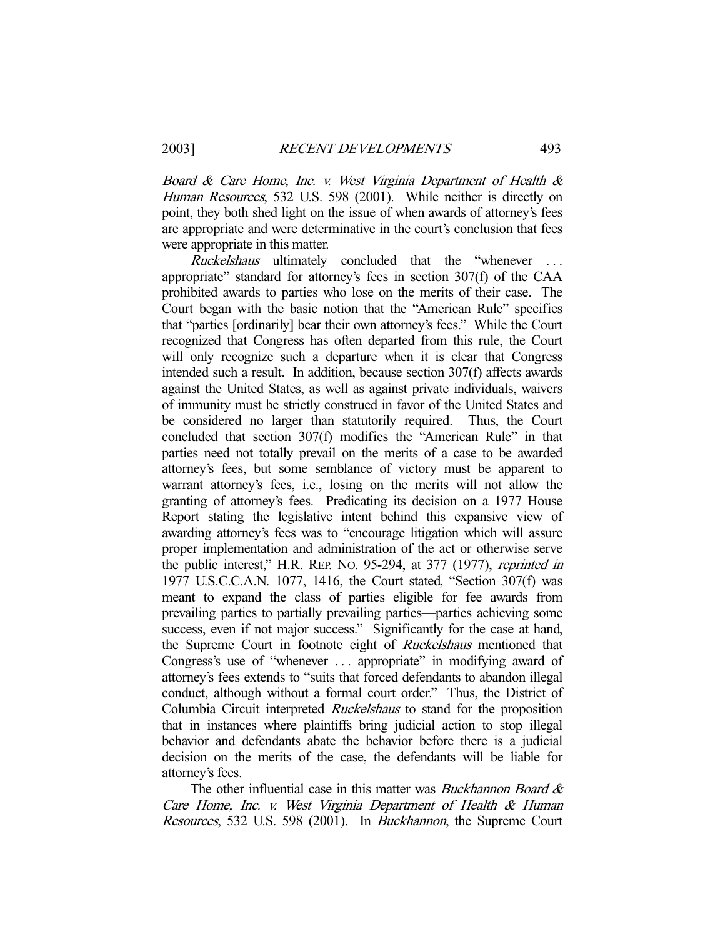Board & Care Home, Inc. v. West Virginia Department of Health & Human Resources, 532 U.S. 598 (2001). While neither is directly on point, they both shed light on the issue of when awards of attorney's fees are appropriate and were determinative in the court's conclusion that fees were appropriate in this matter.

Ruckelshaus ultimately concluded that the "whenever ... appropriate" standard for attorney's fees in section 307(f) of the CAA prohibited awards to parties who lose on the merits of their case. The Court began with the basic notion that the "American Rule" specifies that "parties [ordinarily] bear their own attorney's fees." While the Court recognized that Congress has often departed from this rule, the Court will only recognize such a departure when it is clear that Congress intended such a result. In addition, because section 307(f) affects awards against the United States, as well as against private individuals, waivers of immunity must be strictly construed in favor of the United States and be considered no larger than statutorily required. Thus, the Court concluded that section 307(f) modifies the "American Rule" in that parties need not totally prevail on the merits of a case to be awarded attorney's fees, but some semblance of victory must be apparent to warrant attorney's fees, i.e., losing on the merits will not allow the granting of attorney's fees. Predicating its decision on a 1977 House Report stating the legislative intent behind this expansive view of awarding attorney's fees was to "encourage litigation which will assure proper implementation and administration of the act or otherwise serve the public interest," H.R. REP. NO. 95-294, at 377 (1977), reprinted in 1977 U.S.C.C.A.N. 1077, 1416, the Court stated, "Section 307(f) was meant to expand the class of parties eligible for fee awards from prevailing parties to partially prevailing parties—parties achieving some success, even if not major success." Significantly for the case at hand, the Supreme Court in footnote eight of Ruckelshaus mentioned that Congress's use of "whenever . . . appropriate" in modifying award of attorney's fees extends to "suits that forced defendants to abandon illegal conduct, although without a formal court order." Thus, the District of Columbia Circuit interpreted Ruckelshaus to stand for the proposition that in instances where plaintiffs bring judicial action to stop illegal behavior and defendants abate the behavior before there is a judicial decision on the merits of the case, the defendants will be liable for attorney's fees.

The other influential case in this matter was *Buckhannon Board &* Care Home, Inc. v. West Virginia Department of Health & Human Resources, 532 U.S. 598 (2001). In Buckhannon, the Supreme Court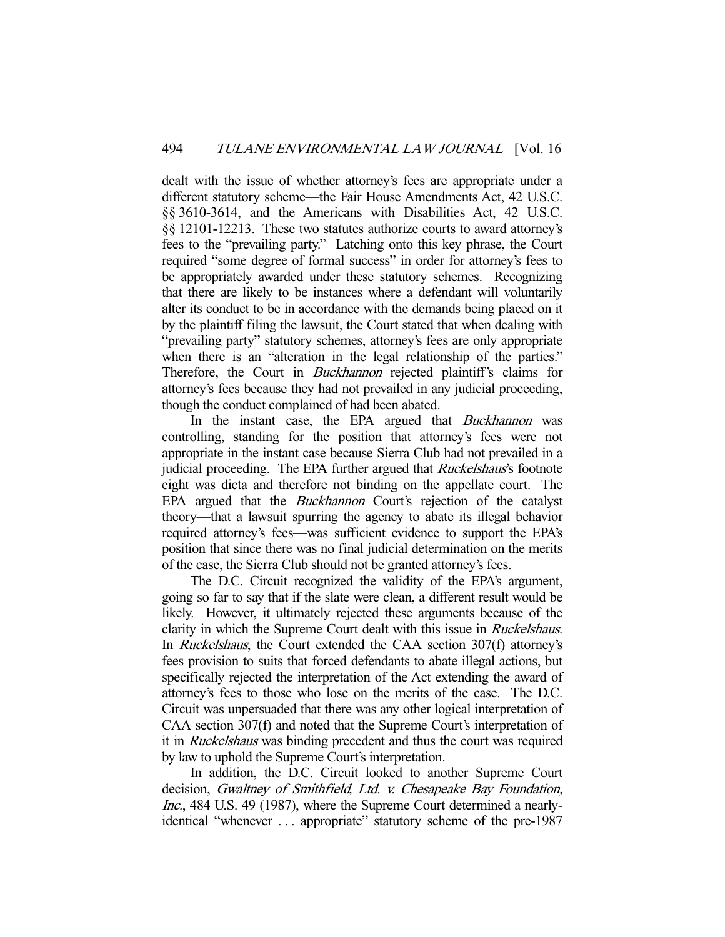dealt with the issue of whether attorney's fees are appropriate under a different statutory scheme—the Fair House Amendments Act, 42 U.S.C. §§ 3610-3614, and the Americans with Disabilities Act, 42 U.S.C. §§ 12101-12213. These two statutes authorize courts to award attorney's fees to the "prevailing party." Latching onto this key phrase, the Court required "some degree of formal success" in order for attorney's fees to be appropriately awarded under these statutory schemes. Recognizing that there are likely to be instances where a defendant will voluntarily alter its conduct to be in accordance with the demands being placed on it by the plaintiff filing the lawsuit, the Court stated that when dealing with "prevailing party" statutory schemes, attorney's fees are only appropriate when there is an "alteration in the legal relationship of the parties." Therefore, the Court in *Buckhannon* rejected plaintiff's claims for attorney's fees because they had not prevailed in any judicial proceeding, though the conduct complained of had been abated.

In the instant case, the EPA argued that *Buckhannon* was controlling, standing for the position that attorney's fees were not appropriate in the instant case because Sierra Club had not prevailed in a judicial proceeding. The EPA further argued that *Ruckelshaus's* footnote eight was dicta and therefore not binding on the appellate court. The EPA argued that the Buckhannon Court's rejection of the catalyst theory—that a lawsuit spurring the agency to abate its illegal behavior required attorney's fees—was sufficient evidence to support the EPA's position that since there was no final judicial determination on the merits of the case, the Sierra Club should not be granted attorney's fees.

 The D.C. Circuit recognized the validity of the EPA's argument, going so far to say that if the slate were clean, a different result would be likely. However, it ultimately rejected these arguments because of the clarity in which the Supreme Court dealt with this issue in Ruckelshaus. In Ruckelshaus, the Court extended the CAA section 307(f) attorney's fees provision to suits that forced defendants to abate illegal actions, but specifically rejected the interpretation of the Act extending the award of attorney's fees to those who lose on the merits of the case. The D.C. Circuit was unpersuaded that there was any other logical interpretation of CAA section 307(f) and noted that the Supreme Court's interpretation of it in Ruckelshaus was binding precedent and thus the court was required by law to uphold the Supreme Court's interpretation.

 In addition, the D.C. Circuit looked to another Supreme Court decision, Gwaltney of Smithfield, Ltd. v. Chesapeake Bay Foundation, Inc., 484 U.S. 49 (1987), where the Supreme Court determined a nearlyidentical "whenever . . . appropriate" statutory scheme of the pre-1987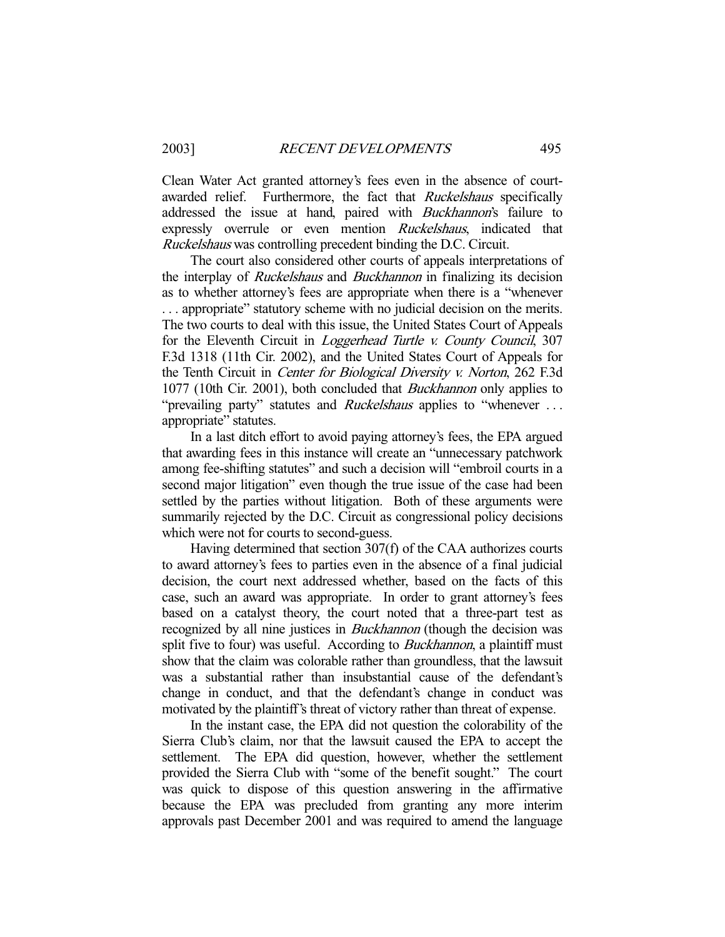Clean Water Act granted attorney's fees even in the absence of courtawarded relief. Furthermore, the fact that *Ruckelshaus* specifically addressed the issue at hand, paired with Buckhannon's failure to expressly overrule or even mention Ruckelshaus, indicated that Ruckelshaus was controlling precedent binding the D.C. Circuit.

 The court also considered other courts of appeals interpretations of the interplay of Ruckelshaus and Buckhannon in finalizing its decision as to whether attorney's fees are appropriate when there is a "whenever . . . appropriate" statutory scheme with no judicial decision on the merits. The two courts to deal with this issue, the United States Court of Appeals for the Eleventh Circuit in Loggerhead Turtle v. County Council, 307 F.3d 1318 (11th Cir. 2002), and the United States Court of Appeals for the Tenth Circuit in Center for Biological Diversity v. Norton, 262 F.3d 1077 (10th Cir. 2001), both concluded that Buckhannon only applies to "prevailing party" statutes and *Ruckelshaus* applies to "whenever ... appropriate" statutes.

 In a last ditch effort to avoid paying attorney's fees, the EPA argued that awarding fees in this instance will create an "unnecessary patchwork among fee-shifting statutes" and such a decision will "embroil courts in a second major litigation" even though the true issue of the case had been settled by the parties without litigation. Both of these arguments were summarily rejected by the D.C. Circuit as congressional policy decisions which were not for courts to second-guess.

 Having determined that section 307(f) of the CAA authorizes courts to award attorney's fees to parties even in the absence of a final judicial decision, the court next addressed whether, based on the facts of this case, such an award was appropriate. In order to grant attorney's fees based on a catalyst theory, the court noted that a three-part test as recognized by all nine justices in *Buckhannon* (though the decision was split five to four) was useful. According to *Buckhannon*, a plaintiff must show that the claim was colorable rather than groundless, that the lawsuit was a substantial rather than insubstantial cause of the defendant's change in conduct, and that the defendant's change in conduct was motivated by the plaintiff's threat of victory rather than threat of expense.

 In the instant case, the EPA did not question the colorability of the Sierra Club's claim, nor that the lawsuit caused the EPA to accept the settlement. The EPA did question, however, whether the settlement provided the Sierra Club with "some of the benefit sought." The court was quick to dispose of this question answering in the affirmative because the EPA was precluded from granting any more interim approvals past December 2001 and was required to amend the language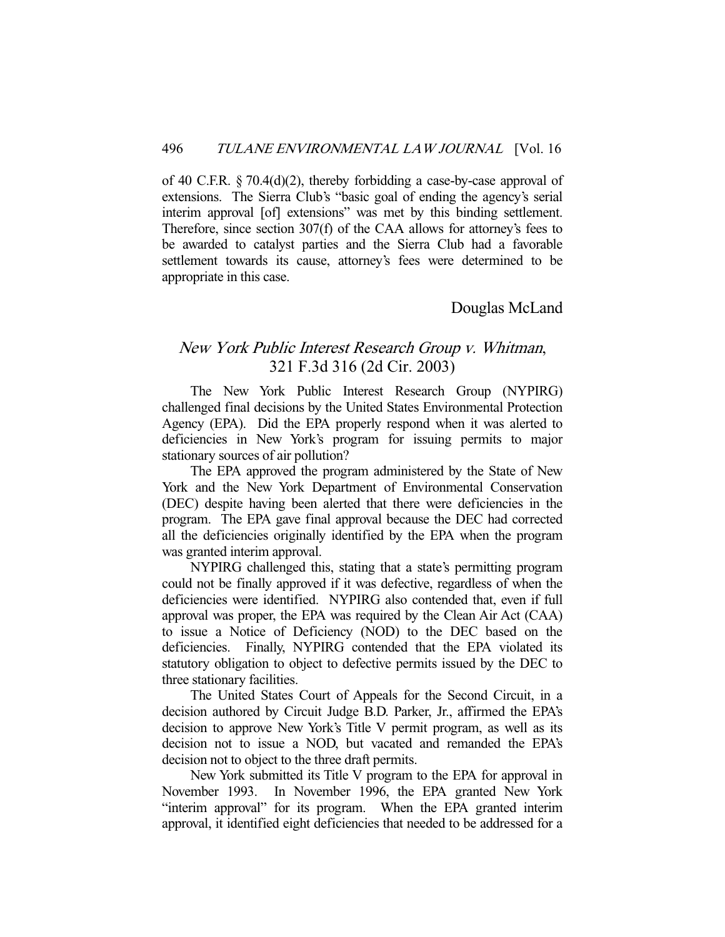of 40 C.F.R. § 70.4(d)(2), thereby forbidding a case-by-case approval of extensions. The Sierra Club's "basic goal of ending the agency's serial interim approval [of] extensions" was met by this binding settlement. Therefore, since section 307(f) of the CAA allows for attorney's fees to be awarded to catalyst parties and the Sierra Club had a favorable settlement towards its cause, attorney's fees were determined to be appropriate in this case.

### Douglas McLand

# New York Public Interest Research Group v. Whitman, 321 F.3d 316 (2d Cir. 2003)

 The New York Public Interest Research Group (NYPIRG) challenged final decisions by the United States Environmental Protection Agency (EPA). Did the EPA properly respond when it was alerted to deficiencies in New York's program for issuing permits to major stationary sources of air pollution?

 The EPA approved the program administered by the State of New York and the New York Department of Environmental Conservation (DEC) despite having been alerted that there were deficiencies in the program. The EPA gave final approval because the DEC had corrected all the deficiencies originally identified by the EPA when the program was granted interim approval.

 NYPIRG challenged this, stating that a state's permitting program could not be finally approved if it was defective, regardless of when the deficiencies were identified. NYPIRG also contended that, even if full approval was proper, the EPA was required by the Clean Air Act (CAA) to issue a Notice of Deficiency (NOD) to the DEC based on the deficiencies. Finally, NYPIRG contended that the EPA violated its statutory obligation to object to defective permits issued by the DEC to three stationary facilities.

 The United States Court of Appeals for the Second Circuit, in a decision authored by Circuit Judge B.D. Parker, Jr., affirmed the EPA's decision to approve New York's Title V permit program, as well as its decision not to issue a NOD, but vacated and remanded the EPA's decision not to object to the three draft permits.

 New York submitted its Title V program to the EPA for approval in November 1993. In November 1996, the EPA granted New York "interim approval" for its program. When the EPA granted interim approval, it identified eight deficiencies that needed to be addressed for a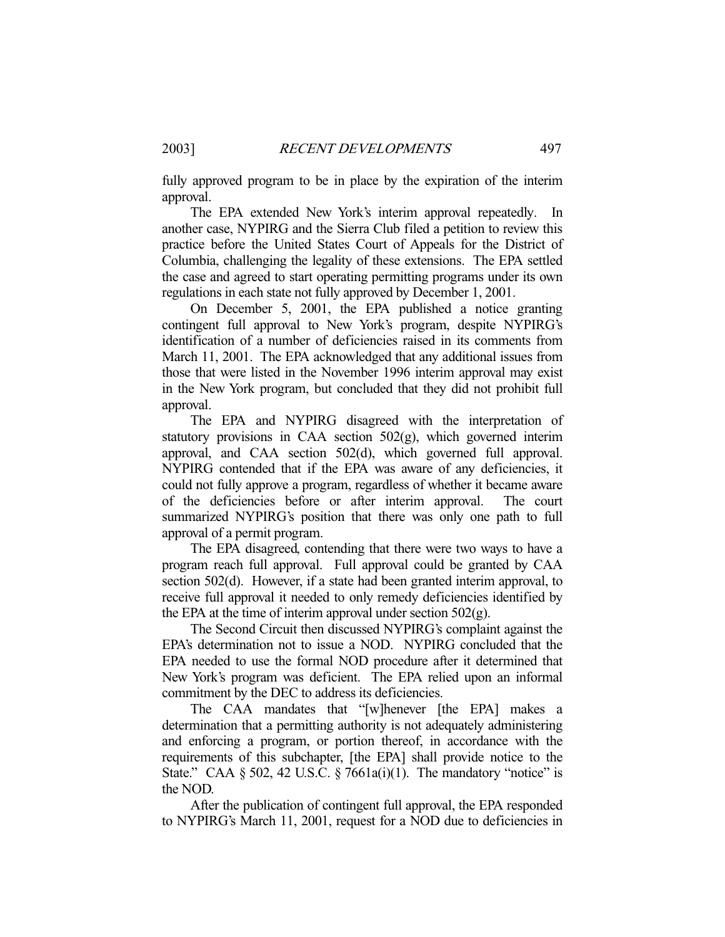fully approved program to be in place by the expiration of the interim approval.

 The EPA extended New York's interim approval repeatedly. In another case, NYPIRG and the Sierra Club filed a petition to review this practice before the United States Court of Appeals for the District of Columbia, challenging the legality of these extensions. The EPA settled the case and agreed to start operating permitting programs under its own regulations in each state not fully approved by December 1, 2001.

 On December 5, 2001, the EPA published a notice granting contingent full approval to New York's program, despite NYPIRG's identification of a number of deficiencies raised in its comments from March 11, 2001. The EPA acknowledged that any additional issues from those that were listed in the November 1996 interim approval may exist in the New York program, but concluded that they did not prohibit full approval.

 The EPA and NYPIRG disagreed with the interpretation of statutory provisions in CAA section 502(g), which governed interim approval, and CAA section 502(d), which governed full approval. NYPIRG contended that if the EPA was aware of any deficiencies, it could not fully approve a program, regardless of whether it became aware of the deficiencies before or after interim approval. The court summarized NYPIRG's position that there was only one path to full approval of a permit program.

 The EPA disagreed, contending that there were two ways to have a program reach full approval. Full approval could be granted by CAA section 502(d). However, if a state had been granted interim approval, to receive full approval it needed to only remedy deficiencies identified by the EPA at the time of interim approval under section  $502(g)$ .

 The Second Circuit then discussed NYPIRG's complaint against the EPA's determination not to issue a NOD. NYPIRG concluded that the EPA needed to use the formal NOD procedure after it determined that New York's program was deficient. The EPA relied upon an informal commitment by the DEC to address its deficiencies.

 The CAA mandates that "[w]henever [the EPA] makes a determination that a permitting authority is not adequately administering and enforcing a program, or portion thereof, in accordance with the requirements of this subchapter, [the EPA] shall provide notice to the State." CAA  $\S 502$ , 42 U.S.C.  $\S 7661a(i)(1)$ . The mandatory "notice" is the NOD.

 After the publication of contingent full approval, the EPA responded to NYPIRG's March 11, 2001, request for a NOD due to deficiencies in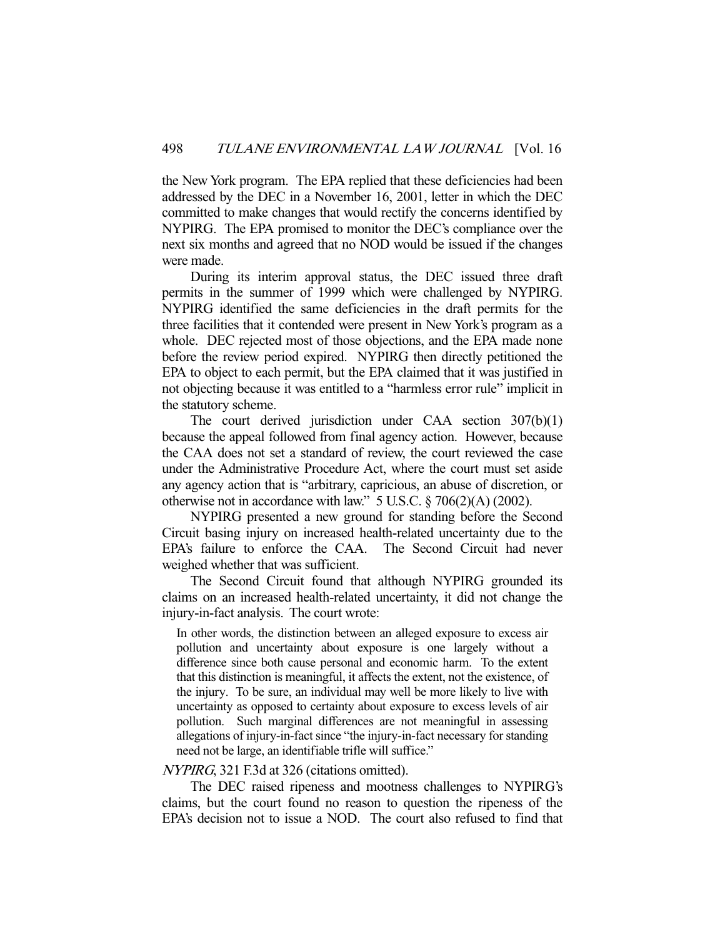the New York program. The EPA replied that these deficiencies had been addressed by the DEC in a November 16, 2001, letter in which the DEC committed to make changes that would rectify the concerns identified by NYPIRG. The EPA promised to monitor the DEC's compliance over the next six months and agreed that no NOD would be issued if the changes were made.

 During its interim approval status, the DEC issued three draft permits in the summer of 1999 which were challenged by NYPIRG. NYPIRG identified the same deficiencies in the draft permits for the three facilities that it contended were present in New York's program as a whole. DEC rejected most of those objections, and the EPA made none before the review period expired. NYPIRG then directly petitioned the EPA to object to each permit, but the EPA claimed that it was justified in not objecting because it was entitled to a "harmless error rule" implicit in the statutory scheme.

 The court derived jurisdiction under CAA section 307(b)(1) because the appeal followed from final agency action. However, because the CAA does not set a standard of review, the court reviewed the case under the Administrative Procedure Act, where the court must set aside any agency action that is "arbitrary, capricious, an abuse of discretion, or otherwise not in accordance with law." 5 U.S.C. § 706(2)(A) (2002).

 NYPIRG presented a new ground for standing before the Second Circuit basing injury on increased health-related uncertainty due to the EPA's failure to enforce the CAA. The Second Circuit had never weighed whether that was sufficient.

 The Second Circuit found that although NYPIRG grounded its claims on an increased health-related uncertainty, it did not change the injury-in-fact analysis. The court wrote:

In other words, the distinction between an alleged exposure to excess air pollution and uncertainty about exposure is one largely without a difference since both cause personal and economic harm. To the extent that this distinction is meaningful, it affects the extent, not the existence, of the injury. To be sure, an individual may well be more likely to live with uncertainty as opposed to certainty about exposure to excess levels of air pollution. Such marginal differences are not meaningful in assessing allegations of injury-in-fact since "the injury-in-fact necessary for standing need not be large, an identifiable trifle will suffice."

#### NYPIRG, 321 F.3d at 326 (citations omitted).

 The DEC raised ripeness and mootness challenges to NYPIRG's claims, but the court found no reason to question the ripeness of the EPA's decision not to issue a NOD. The court also refused to find that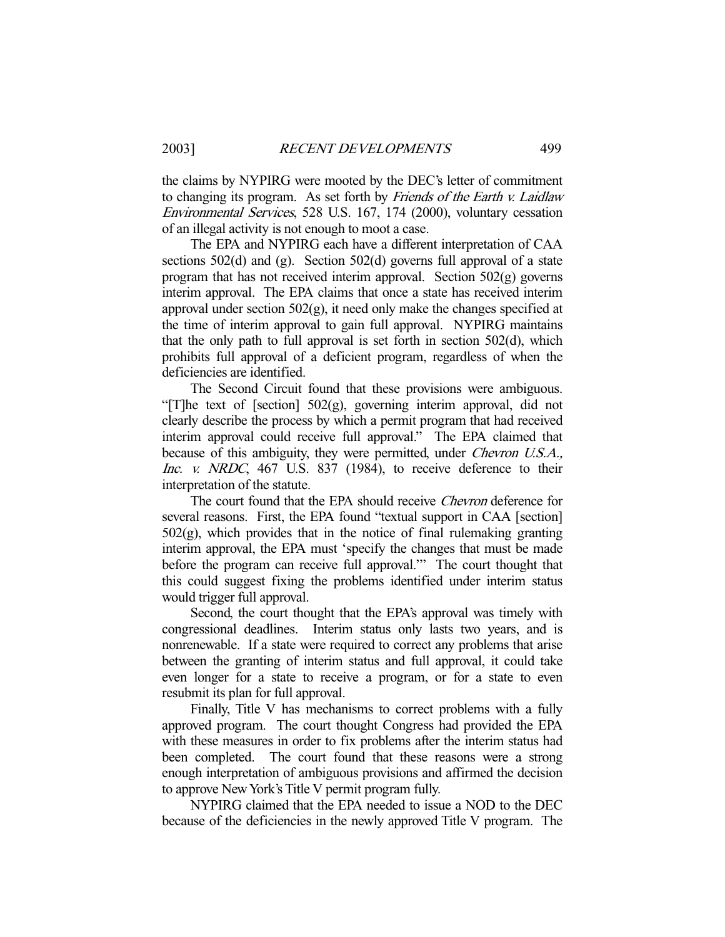the claims by NYPIRG were mooted by the DEC's letter of commitment to changing its program. As set forth by Friends of the Earth v. Laidlaw Environmental Services, 528 U.S. 167, 174 (2000), voluntary cessation of an illegal activity is not enough to moot a case.

 The EPA and NYPIRG each have a different interpretation of CAA sections 502(d) and (g). Section 502(d) governs full approval of a state program that has not received interim approval. Section 502(g) governs interim approval. The EPA claims that once a state has received interim approval under section  $502(g)$ , it need only make the changes specified at the time of interim approval to gain full approval. NYPIRG maintains that the only path to full approval is set forth in section 502(d), which prohibits full approval of a deficient program, regardless of when the deficiencies are identified.

 The Second Circuit found that these provisions were ambiguous. "[T]he text of [section] 502(g), governing interim approval, did not clearly describe the process by which a permit program that had received interim approval could receive full approval." The EPA claimed that because of this ambiguity, they were permitted, under *Chevron U.S.A.*, Inc. v. NRDC, 467 U.S. 837 (1984), to receive deference to their interpretation of the statute.

The court found that the EPA should receive *Chevron* deference for several reasons. First, the EPA found "textual support in CAA [section] 502(g), which provides that in the notice of final rulemaking granting interim approval, the EPA must 'specify the changes that must be made before the program can receive full approval.'" The court thought that this could suggest fixing the problems identified under interim status would trigger full approval.

 Second, the court thought that the EPA's approval was timely with congressional deadlines. Interim status only lasts two years, and is nonrenewable. If a state were required to correct any problems that arise between the granting of interim status and full approval, it could take even longer for a state to receive a program, or for a state to even resubmit its plan for full approval.

 Finally, Title V has mechanisms to correct problems with a fully approved program. The court thought Congress had provided the EPA with these measures in order to fix problems after the interim status had been completed. The court found that these reasons were a strong enough interpretation of ambiguous provisions and affirmed the decision to approve New York's Title V permit program fully.

 NYPIRG claimed that the EPA needed to issue a NOD to the DEC because of the deficiencies in the newly approved Title V program. The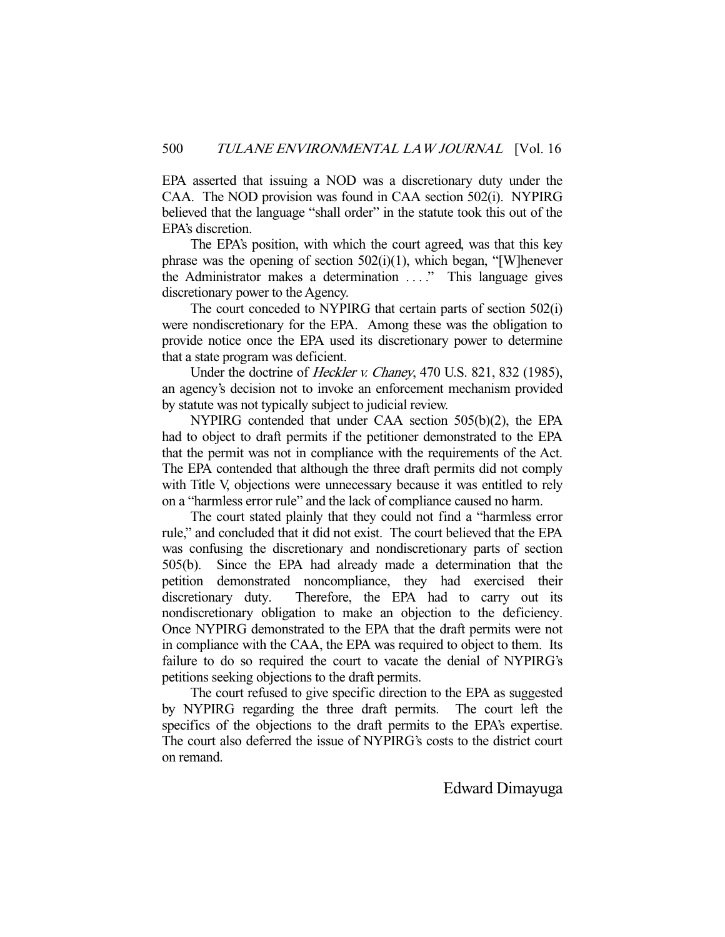EPA asserted that issuing a NOD was a discretionary duty under the CAA. The NOD provision was found in CAA section 502(i). NYPIRG believed that the language "shall order" in the statute took this out of the EPA's discretion.

 The EPA's position, with which the court agreed, was that this key phrase was the opening of section  $502(i)(1)$ , which began, "[W]henever the Administrator makes a determination . . . ." This language gives discretionary power to the Agency.

 The court conceded to NYPIRG that certain parts of section 502(i) were nondiscretionary for the EPA. Among these was the obligation to provide notice once the EPA used its discretionary power to determine that a state program was deficient.

 Under the doctrine of Heckler v. Chaney, 470 U.S. 821, 832 (1985), an agency's decision not to invoke an enforcement mechanism provided by statute was not typically subject to judicial review.

 NYPIRG contended that under CAA section 505(b)(2), the EPA had to object to draft permits if the petitioner demonstrated to the EPA that the permit was not in compliance with the requirements of the Act. The EPA contended that although the three draft permits did not comply with Title V, objections were unnecessary because it was entitled to rely on a "harmless error rule" and the lack of compliance caused no harm.

 The court stated plainly that they could not find a "harmless error rule," and concluded that it did not exist. The court believed that the EPA was confusing the discretionary and nondiscretionary parts of section 505(b). Since the EPA had already made a determination that the petition demonstrated noncompliance, they had exercised their discretionary duty. Therefore, the EPA had to carry out its nondiscretionary obligation to make an objection to the deficiency. Once NYPIRG demonstrated to the EPA that the draft permits were not in compliance with the CAA, the EPA was required to object to them. Its failure to do so required the court to vacate the denial of NYPIRG's petitions seeking objections to the draft permits.

 The court refused to give specific direction to the EPA as suggested by NYPIRG regarding the three draft permits. The court left the specifics of the objections to the draft permits to the EPA's expertise. The court also deferred the issue of NYPIRG's costs to the district court on remand.

#### Edward Dimayuga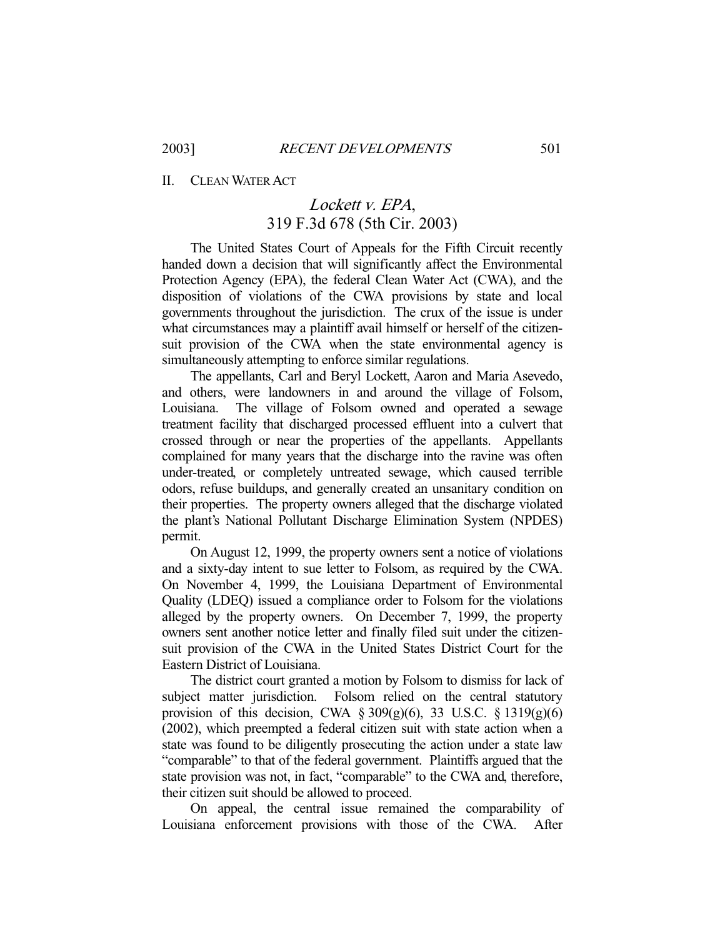II. CLEAN WATER ACT

# Lockett v. EPA, 319 F.3d 678 (5th Cir. 2003)

 The United States Court of Appeals for the Fifth Circuit recently handed down a decision that will significantly affect the Environmental Protection Agency (EPA), the federal Clean Water Act (CWA), and the disposition of violations of the CWA provisions by state and local governments throughout the jurisdiction. The crux of the issue is under what circumstances may a plaintiff avail himself or herself of the citizensuit provision of the CWA when the state environmental agency is simultaneously attempting to enforce similar regulations.

 The appellants, Carl and Beryl Lockett, Aaron and Maria Asevedo, and others, were landowners in and around the village of Folsom, Louisiana. The village of Folsom owned and operated a sewage treatment facility that discharged processed effluent into a culvert that crossed through or near the properties of the appellants. Appellants complained for many years that the discharge into the ravine was often under-treated, or completely untreated sewage, which caused terrible odors, refuse buildups, and generally created an unsanitary condition on their properties. The property owners alleged that the discharge violated the plant's National Pollutant Discharge Elimination System (NPDES) permit.

 On August 12, 1999, the property owners sent a notice of violations and a sixty-day intent to sue letter to Folsom, as required by the CWA. On November 4, 1999, the Louisiana Department of Environmental Quality (LDEQ) issued a compliance order to Folsom for the violations alleged by the property owners. On December 7, 1999, the property owners sent another notice letter and finally filed suit under the citizensuit provision of the CWA in the United States District Court for the Eastern District of Louisiana.

 The district court granted a motion by Folsom to dismiss for lack of subject matter jurisdiction. Folsom relied on the central statutory provision of this decision, CWA § 309(g)(6), 33 U.S.C. § 1319(g)(6) (2002), which preempted a federal citizen suit with state action when a state was found to be diligently prosecuting the action under a state law "comparable" to that of the federal government. Plaintiffs argued that the state provision was not, in fact, "comparable" to the CWA and, therefore, their citizen suit should be allowed to proceed.

 On appeal, the central issue remained the comparability of Louisiana enforcement provisions with those of the CWA. After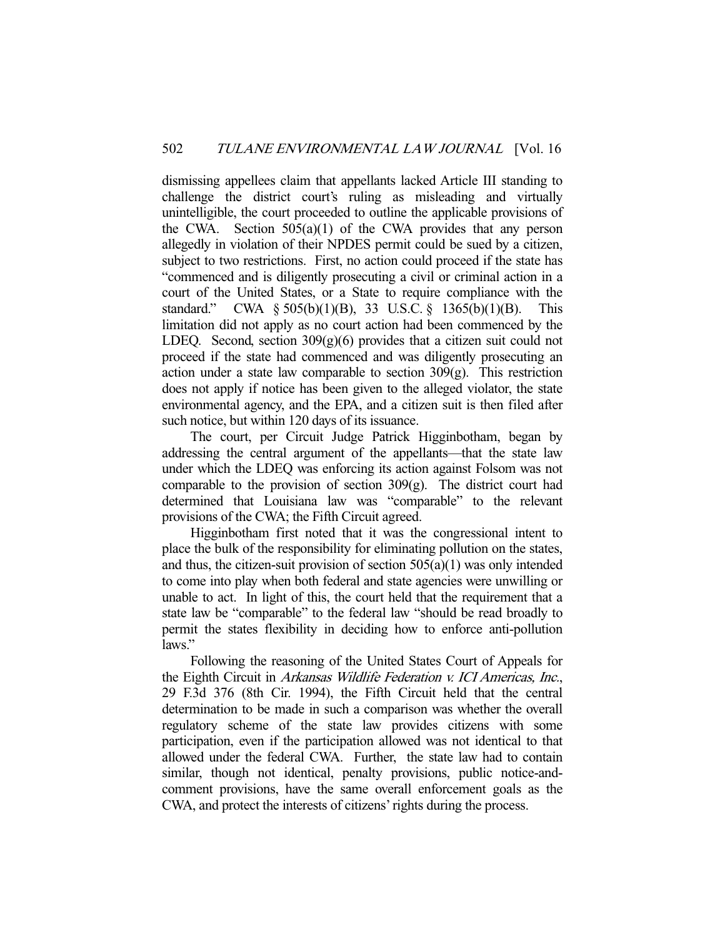dismissing appellees claim that appellants lacked Article III standing to challenge the district court's ruling as misleading and virtually unintelligible, the court proceeded to outline the applicable provisions of the CWA. Section 505(a)(1) of the CWA provides that any person allegedly in violation of their NPDES permit could be sued by a citizen, subject to two restrictions. First, no action could proceed if the state has "commenced and is diligently prosecuting a civil or criminal action in a court of the United States, or a State to require compliance with the standard." CWA § 505(b)(1)(B), 33 U.S.C. § 1365(b)(1)(B). This limitation did not apply as no court action had been commenced by the LDEQ. Second, section  $309(g)(6)$  provides that a citizen suit could not proceed if the state had commenced and was diligently prosecuting an action under a state law comparable to section  $309(g)$ . This restriction does not apply if notice has been given to the alleged violator, the state environmental agency, and the EPA, and a citizen suit is then filed after such notice, but within 120 days of its issuance.

 The court, per Circuit Judge Patrick Higginbotham, began by addressing the central argument of the appellants—that the state law under which the LDEQ was enforcing its action against Folsom was not comparable to the provision of section 309(g). The district court had determined that Louisiana law was "comparable" to the relevant provisions of the CWA; the Fifth Circuit agreed.

 Higginbotham first noted that it was the congressional intent to place the bulk of the responsibility for eliminating pollution on the states, and thus, the citizen-suit provision of section  $505(a)(1)$  was only intended to come into play when both federal and state agencies were unwilling or unable to act. In light of this, the court held that the requirement that a state law be "comparable" to the federal law "should be read broadly to permit the states flexibility in deciding how to enforce anti-pollution laws."

 Following the reasoning of the United States Court of Appeals for the Eighth Circuit in Arkansas Wildlife Federation v. ICI Americas, Inc., 29 F.3d 376 (8th Cir. 1994), the Fifth Circuit held that the central determination to be made in such a comparison was whether the overall regulatory scheme of the state law provides citizens with some participation, even if the participation allowed was not identical to that allowed under the federal CWA. Further, the state law had to contain similar, though not identical, penalty provisions, public notice-andcomment provisions, have the same overall enforcement goals as the CWA, and protect the interests of citizens' rights during the process.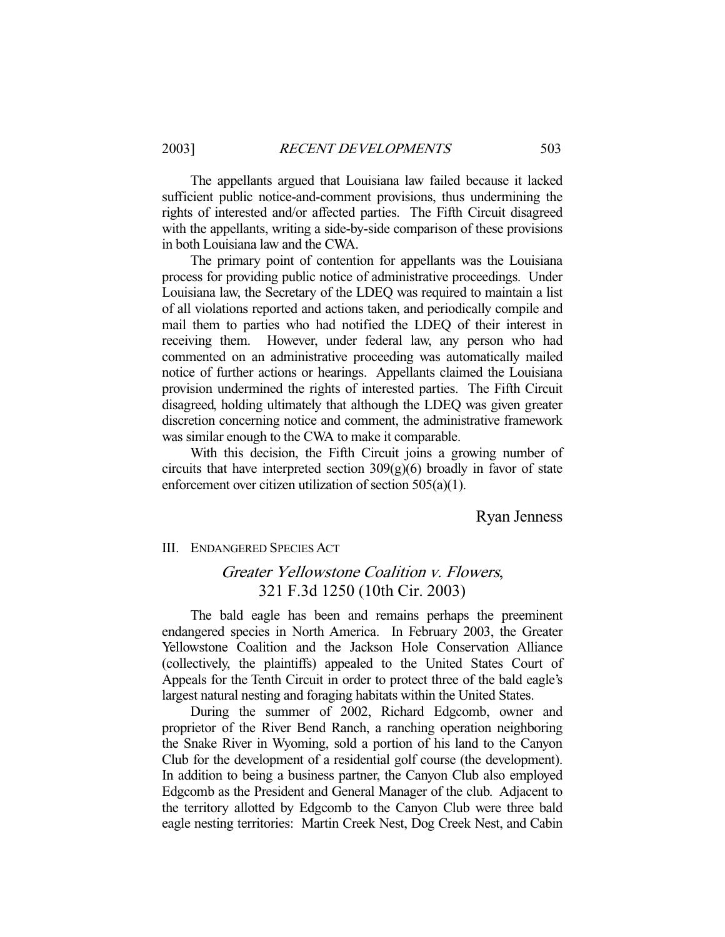The appellants argued that Louisiana law failed because it lacked sufficient public notice-and-comment provisions, thus undermining the rights of interested and/or affected parties. The Fifth Circuit disagreed with the appellants, writing a side-by-side comparison of these provisions in both Louisiana law and the CWA.

 The primary point of contention for appellants was the Louisiana process for providing public notice of administrative proceedings. Under Louisiana law, the Secretary of the LDEQ was required to maintain a list of all violations reported and actions taken, and periodically compile and mail them to parties who had notified the LDEQ of their interest in receiving them. However, under federal law, any person who had commented on an administrative proceeding was automatically mailed notice of further actions or hearings. Appellants claimed the Louisiana provision undermined the rights of interested parties. The Fifth Circuit disagreed, holding ultimately that although the LDEQ was given greater discretion concerning notice and comment, the administrative framework was similar enough to the CWA to make it comparable.

 With this decision, the Fifth Circuit joins a growing number of circuits that have interpreted section  $309(g)(6)$  broadly in favor of state enforcement over citizen utilization of section 505(a)(1).

Ryan Jenness

III. ENDANGERED SPECIES ACT

### Greater Yellowstone Coalition v. Flowers, 321 F.3d 1250 (10th Cir. 2003)

 The bald eagle has been and remains perhaps the preeminent endangered species in North America. In February 2003, the Greater Yellowstone Coalition and the Jackson Hole Conservation Alliance (collectively, the plaintiffs) appealed to the United States Court of Appeals for the Tenth Circuit in order to protect three of the bald eagle's largest natural nesting and foraging habitats within the United States.

 During the summer of 2002, Richard Edgcomb, owner and proprietor of the River Bend Ranch, a ranching operation neighboring the Snake River in Wyoming, sold a portion of his land to the Canyon Club for the development of a residential golf course (the development). In addition to being a business partner, the Canyon Club also employed Edgcomb as the President and General Manager of the club. Adjacent to the territory allotted by Edgcomb to the Canyon Club were three bald eagle nesting territories: Martin Creek Nest, Dog Creek Nest, and Cabin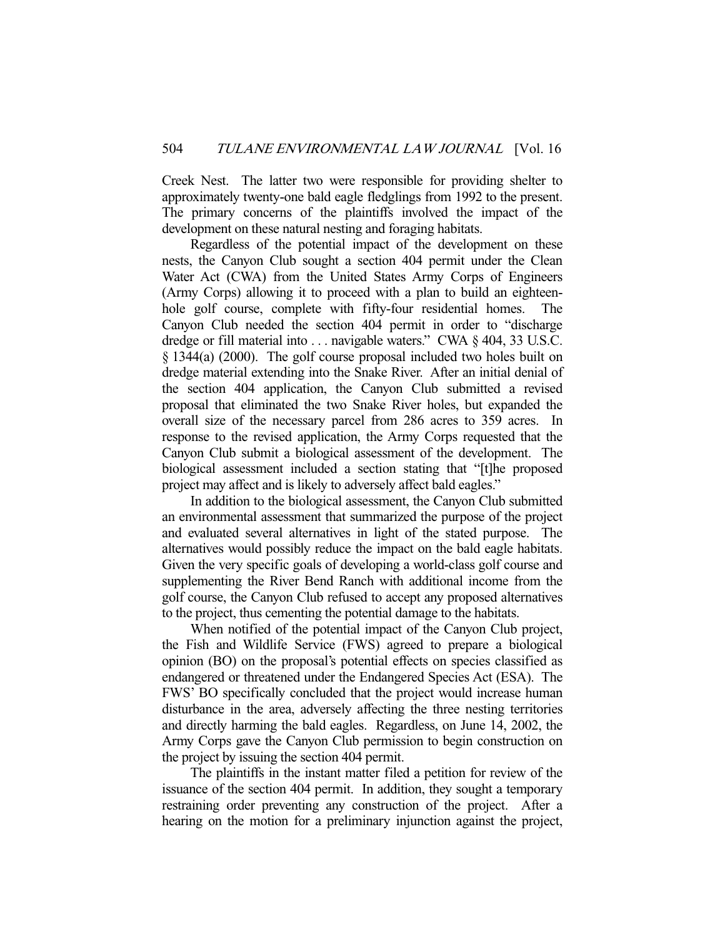Creek Nest. The latter two were responsible for providing shelter to approximately twenty-one bald eagle fledglings from 1992 to the present. The primary concerns of the plaintiffs involved the impact of the development on these natural nesting and foraging habitats.

 Regardless of the potential impact of the development on these nests, the Canyon Club sought a section 404 permit under the Clean Water Act (CWA) from the United States Army Corps of Engineers (Army Corps) allowing it to proceed with a plan to build an eighteenhole golf course, complete with fifty-four residential homes. The Canyon Club needed the section 404 permit in order to "discharge dredge or fill material into . . . navigable waters." CWA § 404, 33 U.S.C. § 1344(a) (2000). The golf course proposal included two holes built on dredge material extending into the Snake River. After an initial denial of the section 404 application, the Canyon Club submitted a revised proposal that eliminated the two Snake River holes, but expanded the overall size of the necessary parcel from 286 acres to 359 acres. In response to the revised application, the Army Corps requested that the Canyon Club submit a biological assessment of the development. The biological assessment included a section stating that "[t]he proposed project may affect and is likely to adversely affect bald eagles."

 In addition to the biological assessment, the Canyon Club submitted an environmental assessment that summarized the purpose of the project and evaluated several alternatives in light of the stated purpose. The alternatives would possibly reduce the impact on the bald eagle habitats. Given the very specific goals of developing a world-class golf course and supplementing the River Bend Ranch with additional income from the golf course, the Canyon Club refused to accept any proposed alternatives to the project, thus cementing the potential damage to the habitats.

 When notified of the potential impact of the Canyon Club project, the Fish and Wildlife Service (FWS) agreed to prepare a biological opinion (BO) on the proposal's potential effects on species classified as endangered or threatened under the Endangered Species Act (ESA). The FWS' BO specifically concluded that the project would increase human disturbance in the area, adversely affecting the three nesting territories and directly harming the bald eagles. Regardless, on June 14, 2002, the Army Corps gave the Canyon Club permission to begin construction on the project by issuing the section 404 permit.

 The plaintiffs in the instant matter filed a petition for review of the issuance of the section 404 permit. In addition, they sought a temporary restraining order preventing any construction of the project. After a hearing on the motion for a preliminary injunction against the project,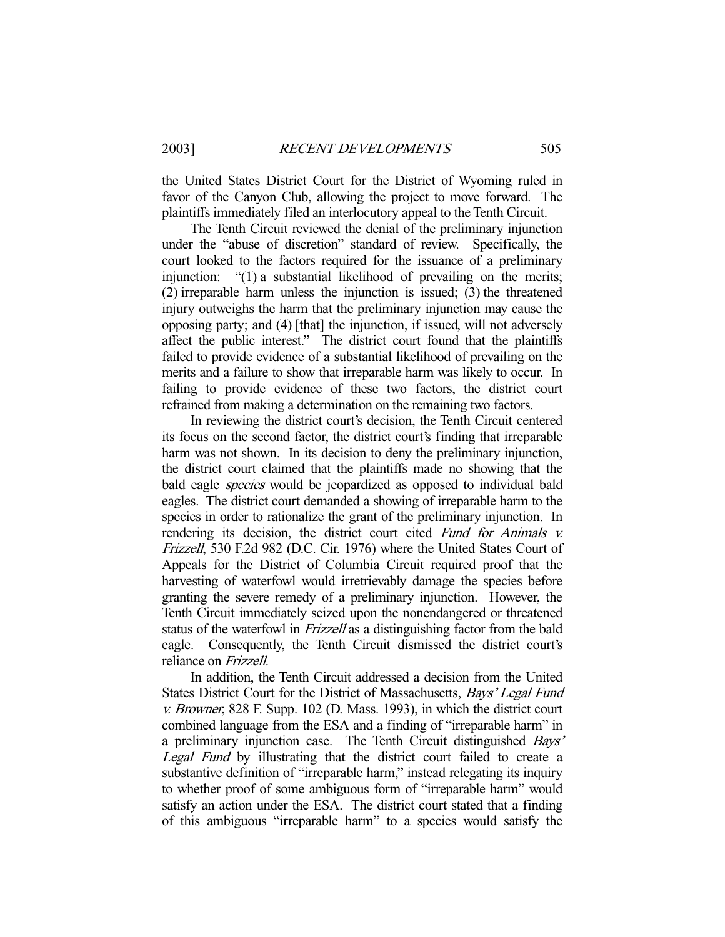the United States District Court for the District of Wyoming ruled in favor of the Canyon Club, allowing the project to move forward. The plaintiffs immediately filed an interlocutory appeal to the Tenth Circuit.

 The Tenth Circuit reviewed the denial of the preliminary injunction under the "abuse of discretion" standard of review. Specifically, the court looked to the factors required for the issuance of a preliminary injunction: "(1) a substantial likelihood of prevailing on the merits; (2) irreparable harm unless the injunction is issued; (3) the threatened injury outweighs the harm that the preliminary injunction may cause the opposing party; and (4) [that] the injunction, if issued, will not adversely affect the public interest." The district court found that the plaintiffs failed to provide evidence of a substantial likelihood of prevailing on the merits and a failure to show that irreparable harm was likely to occur. In failing to provide evidence of these two factors, the district court refrained from making a determination on the remaining two factors.

 In reviewing the district court's decision, the Tenth Circuit centered its focus on the second factor, the district court's finding that irreparable harm was not shown. In its decision to deny the preliminary injunction, the district court claimed that the plaintiffs made no showing that the bald eagle *species* would be jeopardized as opposed to individual bald eagles. The district court demanded a showing of irreparable harm to the species in order to rationalize the grant of the preliminary injunction. In rendering its decision, the district court cited Fund for Animals v. Frizzell, 530 F.2d 982 (D.C. Cir. 1976) where the United States Court of Appeals for the District of Columbia Circuit required proof that the harvesting of waterfowl would irretrievably damage the species before granting the severe remedy of a preliminary injunction. However, the Tenth Circuit immediately seized upon the nonendangered or threatened status of the waterfowl in Frizzell as a distinguishing factor from the bald eagle. Consequently, the Tenth Circuit dismissed the district court's reliance on Frizzell.

 In addition, the Tenth Circuit addressed a decision from the United States District Court for the District of Massachusetts, Bays' Legal Fund v. Browner, 828 F. Supp. 102 (D. Mass. 1993), in which the district court combined language from the ESA and a finding of "irreparable harm" in a preliminary injunction case. The Tenth Circuit distinguished Bays' Legal Fund by illustrating that the district court failed to create a substantive definition of "irreparable harm," instead relegating its inquiry to whether proof of some ambiguous form of "irreparable harm" would satisfy an action under the ESA. The district court stated that a finding of this ambiguous "irreparable harm" to a species would satisfy the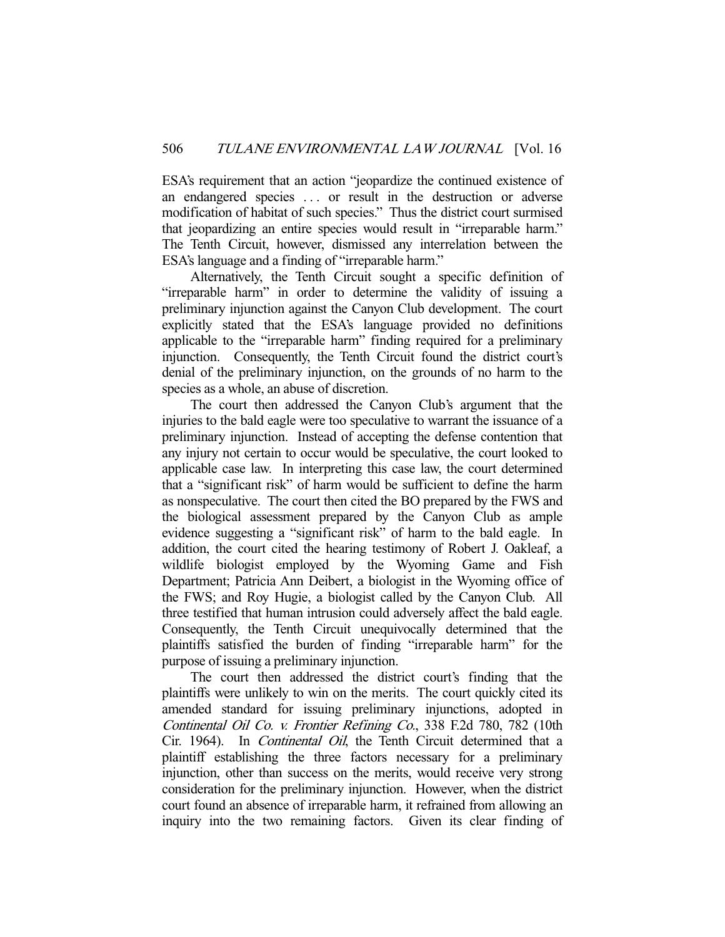ESA's requirement that an action "jeopardize the continued existence of an endangered species . . . or result in the destruction or adverse modification of habitat of such species." Thus the district court surmised that jeopardizing an entire species would result in "irreparable harm." The Tenth Circuit, however, dismissed any interrelation between the ESA's language and a finding of "irreparable harm."

 Alternatively, the Tenth Circuit sought a specific definition of "irreparable harm" in order to determine the validity of issuing a preliminary injunction against the Canyon Club development. The court explicitly stated that the ESA's language provided no definitions applicable to the "irreparable harm" finding required for a preliminary injunction. Consequently, the Tenth Circuit found the district court's denial of the preliminary injunction, on the grounds of no harm to the species as a whole, an abuse of discretion.

 The court then addressed the Canyon Club's argument that the injuries to the bald eagle were too speculative to warrant the issuance of a preliminary injunction. Instead of accepting the defense contention that any injury not certain to occur would be speculative, the court looked to applicable case law. In interpreting this case law, the court determined that a "significant risk" of harm would be sufficient to define the harm as nonspeculative. The court then cited the BO prepared by the FWS and the biological assessment prepared by the Canyon Club as ample evidence suggesting a "significant risk" of harm to the bald eagle. In addition, the court cited the hearing testimony of Robert J. Oakleaf, a wildlife biologist employed by the Wyoming Game and Fish Department; Patricia Ann Deibert, a biologist in the Wyoming office of the FWS; and Roy Hugie, a biologist called by the Canyon Club. All three testified that human intrusion could adversely affect the bald eagle. Consequently, the Tenth Circuit unequivocally determined that the plaintiffs satisfied the burden of finding "irreparable harm" for the purpose of issuing a preliminary injunction.

 The court then addressed the district court's finding that the plaintiffs were unlikely to win on the merits. The court quickly cited its amended standard for issuing preliminary injunctions, adopted in Continental Oil Co. v. Frontier Refining Co., 338 F.2d 780, 782 (10th Cir. 1964). In Continental Oil, the Tenth Circuit determined that a plaintiff establishing the three factors necessary for a preliminary injunction, other than success on the merits, would receive very strong consideration for the preliminary injunction. However, when the district court found an absence of irreparable harm, it refrained from allowing an inquiry into the two remaining factors. Given its clear finding of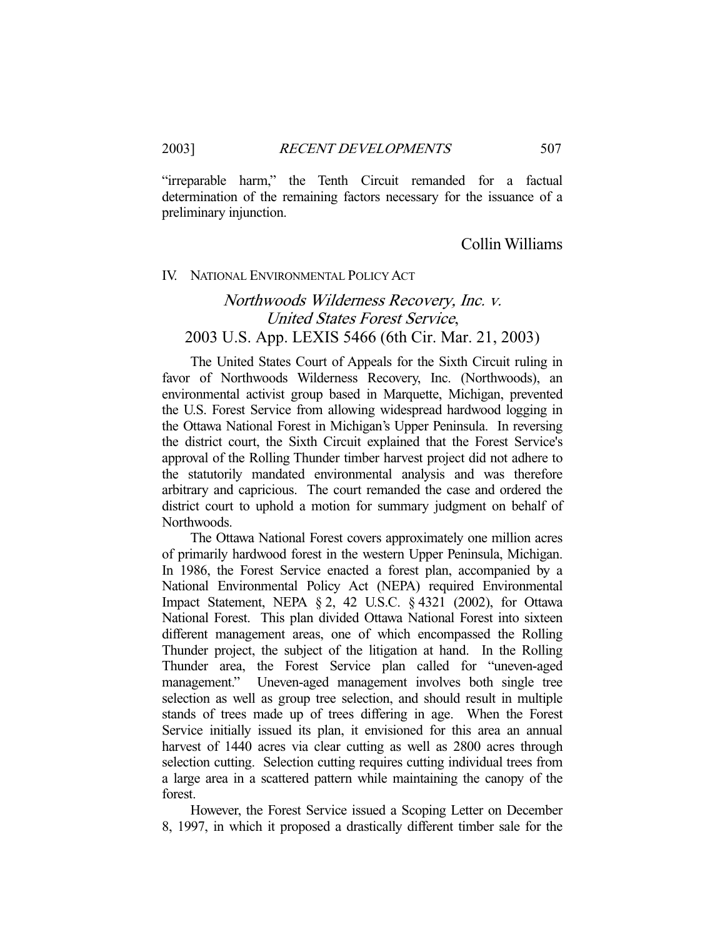"irreparable harm," the Tenth Circuit remanded for a factual determination of the remaining factors necessary for the issuance of a preliminary injunction.

### Collin Williams

#### IV. NATIONAL ENVIRONMENTAL POLICY ACT

# Northwoods Wilderness Recovery, Inc. v. United States Forest Service, 2003 U.S. App. LEXIS 5466 (6th Cir. Mar. 21, 2003)

 The United States Court of Appeals for the Sixth Circuit ruling in favor of Northwoods Wilderness Recovery, Inc. (Northwoods), an environmental activist group based in Marquette, Michigan, prevented the U.S. Forest Service from allowing widespread hardwood logging in the Ottawa National Forest in Michigan's Upper Peninsula. In reversing the district court, the Sixth Circuit explained that the Forest Service's approval of the Rolling Thunder timber harvest project did not adhere to the statutorily mandated environmental analysis and was therefore arbitrary and capricious. The court remanded the case and ordered the district court to uphold a motion for summary judgment on behalf of Northwoods.

 The Ottawa National Forest covers approximately one million acres of primarily hardwood forest in the western Upper Peninsula, Michigan. In 1986, the Forest Service enacted a forest plan, accompanied by a National Environmental Policy Act (NEPA) required Environmental Impact Statement, NEPA § 2, 42 U.S.C. § 4321 (2002), for Ottawa National Forest. This plan divided Ottawa National Forest into sixteen different management areas, one of which encompassed the Rolling Thunder project, the subject of the litigation at hand. In the Rolling Thunder area, the Forest Service plan called for "uneven-aged management." Uneven-aged management involves both single tree selection as well as group tree selection, and should result in multiple stands of trees made up of trees differing in age. When the Forest Service initially issued its plan, it envisioned for this area an annual harvest of 1440 acres via clear cutting as well as 2800 acres through selection cutting. Selection cutting requires cutting individual trees from a large area in a scattered pattern while maintaining the canopy of the forest.

 However, the Forest Service issued a Scoping Letter on December 8, 1997, in which it proposed a drastically different timber sale for the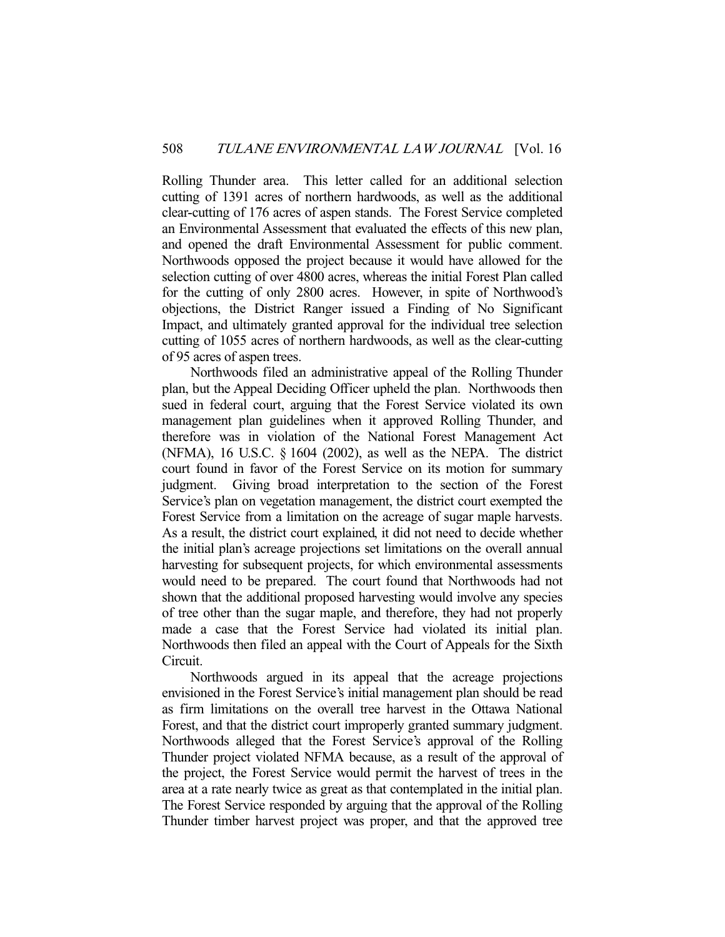Rolling Thunder area. This letter called for an additional selection cutting of 1391 acres of northern hardwoods, as well as the additional clear-cutting of 176 acres of aspen stands. The Forest Service completed an Environmental Assessment that evaluated the effects of this new plan, and opened the draft Environmental Assessment for public comment. Northwoods opposed the project because it would have allowed for the selection cutting of over 4800 acres, whereas the initial Forest Plan called for the cutting of only 2800 acres. However, in spite of Northwood's objections, the District Ranger issued a Finding of No Significant Impact, and ultimately granted approval for the individual tree selection cutting of 1055 acres of northern hardwoods, as well as the clear-cutting of 95 acres of aspen trees.

 Northwoods filed an administrative appeal of the Rolling Thunder plan, but the Appeal Deciding Officer upheld the plan. Northwoods then sued in federal court, arguing that the Forest Service violated its own management plan guidelines when it approved Rolling Thunder, and therefore was in violation of the National Forest Management Act (NFMA), 16 U.S.C. § 1604 (2002), as well as the NEPA. The district court found in favor of the Forest Service on its motion for summary judgment. Giving broad interpretation to the section of the Forest Service's plan on vegetation management, the district court exempted the Forest Service from a limitation on the acreage of sugar maple harvests. As a result, the district court explained, it did not need to decide whether the initial plan's acreage projections set limitations on the overall annual harvesting for subsequent projects, for which environmental assessments would need to be prepared. The court found that Northwoods had not shown that the additional proposed harvesting would involve any species of tree other than the sugar maple, and therefore, they had not properly made a case that the Forest Service had violated its initial plan. Northwoods then filed an appeal with the Court of Appeals for the Sixth Circuit.

 Northwoods argued in its appeal that the acreage projections envisioned in the Forest Service's initial management plan should be read as firm limitations on the overall tree harvest in the Ottawa National Forest, and that the district court improperly granted summary judgment. Northwoods alleged that the Forest Service's approval of the Rolling Thunder project violated NFMA because, as a result of the approval of the project, the Forest Service would permit the harvest of trees in the area at a rate nearly twice as great as that contemplated in the initial plan. The Forest Service responded by arguing that the approval of the Rolling Thunder timber harvest project was proper, and that the approved tree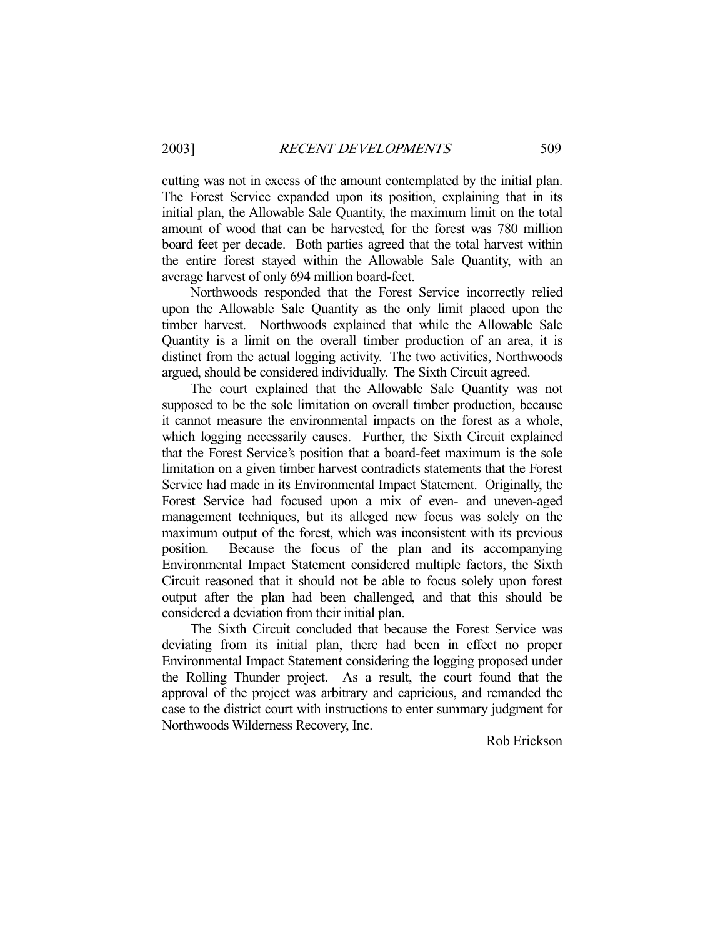cutting was not in excess of the amount contemplated by the initial plan. The Forest Service expanded upon its position, explaining that in its initial plan, the Allowable Sale Quantity, the maximum limit on the total amount of wood that can be harvested, for the forest was 780 million board feet per decade. Both parties agreed that the total harvest within the entire forest stayed within the Allowable Sale Quantity, with an average harvest of only 694 million board-feet.

 Northwoods responded that the Forest Service incorrectly relied upon the Allowable Sale Quantity as the only limit placed upon the timber harvest. Northwoods explained that while the Allowable Sale Quantity is a limit on the overall timber production of an area, it is distinct from the actual logging activity. The two activities, Northwoods argued, should be considered individually. The Sixth Circuit agreed.

 The court explained that the Allowable Sale Quantity was not supposed to be the sole limitation on overall timber production, because it cannot measure the environmental impacts on the forest as a whole, which logging necessarily causes. Further, the Sixth Circuit explained that the Forest Service's position that a board-feet maximum is the sole limitation on a given timber harvest contradicts statements that the Forest Service had made in its Environmental Impact Statement. Originally, the Forest Service had focused upon a mix of even- and uneven-aged management techniques, but its alleged new focus was solely on the maximum output of the forest, which was inconsistent with its previous position. Because the focus of the plan and its accompanying Environmental Impact Statement considered multiple factors, the Sixth Circuit reasoned that it should not be able to focus solely upon forest output after the plan had been challenged, and that this should be considered a deviation from their initial plan.

 The Sixth Circuit concluded that because the Forest Service was deviating from its initial plan, there had been in effect no proper Environmental Impact Statement considering the logging proposed under the Rolling Thunder project. As a result, the court found that the approval of the project was arbitrary and capricious, and remanded the case to the district court with instructions to enter summary judgment for Northwoods Wilderness Recovery, Inc.

Rob Erickson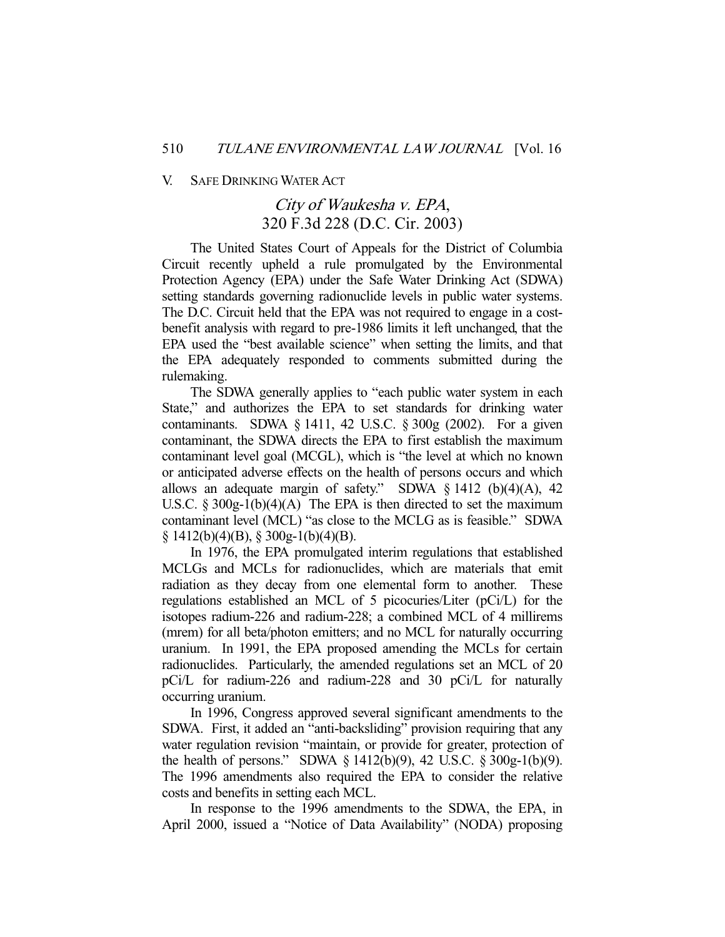#### V. SAFE DRINKING WATER ACT

### City of Waukesha v. EPA, 320 F.3d 228 (D.C. Cir. 2003)

 The United States Court of Appeals for the District of Columbia Circuit recently upheld a rule promulgated by the Environmental Protection Agency (EPA) under the Safe Water Drinking Act (SDWA) setting standards governing radionuclide levels in public water systems. The D.C. Circuit held that the EPA was not required to engage in a costbenefit analysis with regard to pre-1986 limits it left unchanged, that the EPA used the "best available science" when setting the limits, and that the EPA adequately responded to comments submitted during the rulemaking.

 The SDWA generally applies to "each public water system in each State," and authorizes the EPA to set standards for drinking water contaminants. SDWA § 1411, 42 U.S.C. § 300g (2002). For a given contaminant, the SDWA directs the EPA to first establish the maximum contaminant level goal (MCGL), which is "the level at which no known or anticipated adverse effects on the health of persons occurs and which allows an adequate margin of safety." SDWA  $\S$  1412 (b)(4)(A), 42 U.S.C.  $\S 300g-1(b)(4)(A)$  The EPA is then directed to set the maximum contaminant level (MCL) "as close to the MCLG as is feasible." SDWA  $\S$  1412(b)(4)(B),  $\S$  300g-1(b)(4)(B).

 In 1976, the EPA promulgated interim regulations that established MCLGs and MCLs for radionuclides, which are materials that emit radiation as they decay from one elemental form to another. These regulations established an MCL of 5 picocuries/Liter (pCi/L) for the isotopes radium-226 and radium-228; a combined MCL of 4 millirems (mrem) for all beta/photon emitters; and no MCL for naturally occurring uranium. In 1991, the EPA proposed amending the MCLs for certain radionuclides. Particularly, the amended regulations set an MCL of 20 pCi/L for radium-226 and radium-228 and 30 pCi/L for naturally occurring uranium.

 In 1996, Congress approved several significant amendments to the SDWA. First, it added an "anti-backsliding" provision requiring that any water regulation revision "maintain, or provide for greater, protection of the health of persons." SDWA § 1412(b)(9), 42 U.S.C. § 300g-1(b)(9). The 1996 amendments also required the EPA to consider the relative costs and benefits in setting each MCL.

 In response to the 1996 amendments to the SDWA, the EPA, in April 2000, issued a "Notice of Data Availability" (NODA) proposing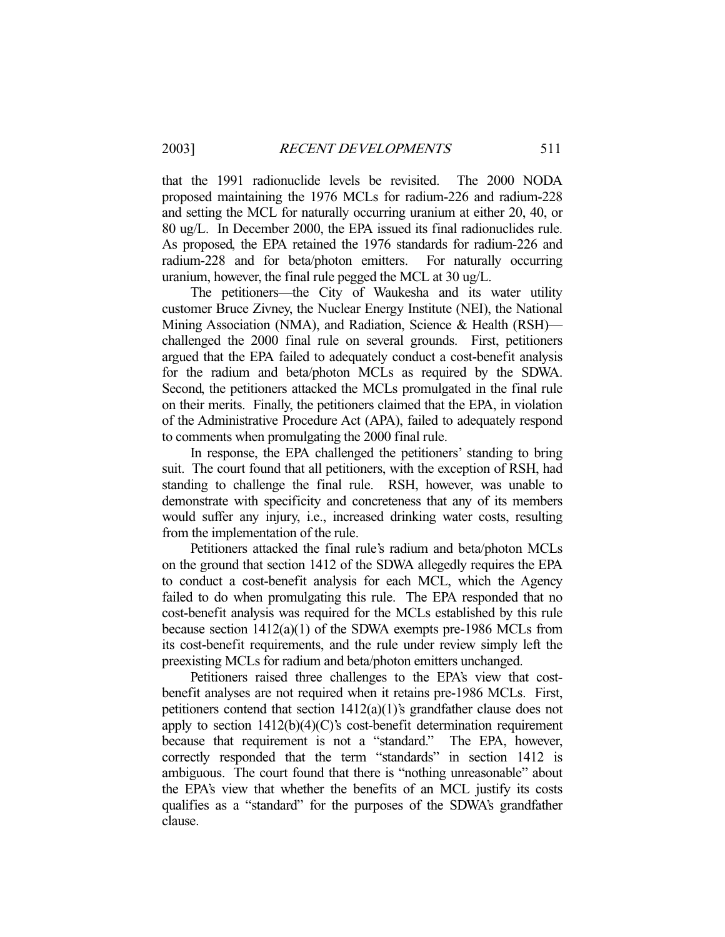that the 1991 radionuclide levels be revisited. The 2000 NODA proposed maintaining the 1976 MCLs for radium-226 and radium-228 and setting the MCL for naturally occurring uranium at either 20, 40, or 80 ug/L. In December 2000, the EPA issued its final radionuclides rule. As proposed, the EPA retained the 1976 standards for radium-226 and radium-228 and for beta/photon emitters. For naturally occurring uranium, however, the final rule pegged the MCL at 30 ug/L.

 The petitioners—the City of Waukesha and its water utility customer Bruce Zivney, the Nuclear Energy Institute (NEI), the National Mining Association (NMA), and Radiation, Science & Health (RSH) challenged the 2000 final rule on several grounds. First, petitioners argued that the EPA failed to adequately conduct a cost-benefit analysis for the radium and beta/photon MCLs as required by the SDWA. Second, the petitioners attacked the MCLs promulgated in the final rule on their merits. Finally, the petitioners claimed that the EPA, in violation of the Administrative Procedure Act (APA), failed to adequately respond to comments when promulgating the 2000 final rule.

 In response, the EPA challenged the petitioners' standing to bring suit. The court found that all petitioners, with the exception of RSH, had standing to challenge the final rule. RSH, however, was unable to demonstrate with specificity and concreteness that any of its members would suffer any injury, i.e., increased drinking water costs, resulting from the implementation of the rule.

 Petitioners attacked the final rule's radium and beta/photon MCLs on the ground that section 1412 of the SDWA allegedly requires the EPA to conduct a cost-benefit analysis for each MCL, which the Agency failed to do when promulgating this rule. The EPA responded that no cost-benefit analysis was required for the MCLs established by this rule because section 1412(a)(1) of the SDWA exempts pre-1986 MCLs from its cost-benefit requirements, and the rule under review simply left the preexisting MCLs for radium and beta/photon emitters unchanged.

 Petitioners raised three challenges to the EPA's view that costbenefit analyses are not required when it retains pre-1986 MCLs. First, petitioners contend that section 1412(a)(1)'s grandfather clause does not apply to section  $1412(b)(4)(C)$ 's cost-benefit determination requirement because that requirement is not a "standard." The EPA, however, correctly responded that the term "standards" in section 1412 is ambiguous. The court found that there is "nothing unreasonable" about the EPA's view that whether the benefits of an MCL justify its costs qualifies as a "standard" for the purposes of the SDWA's grandfather clause.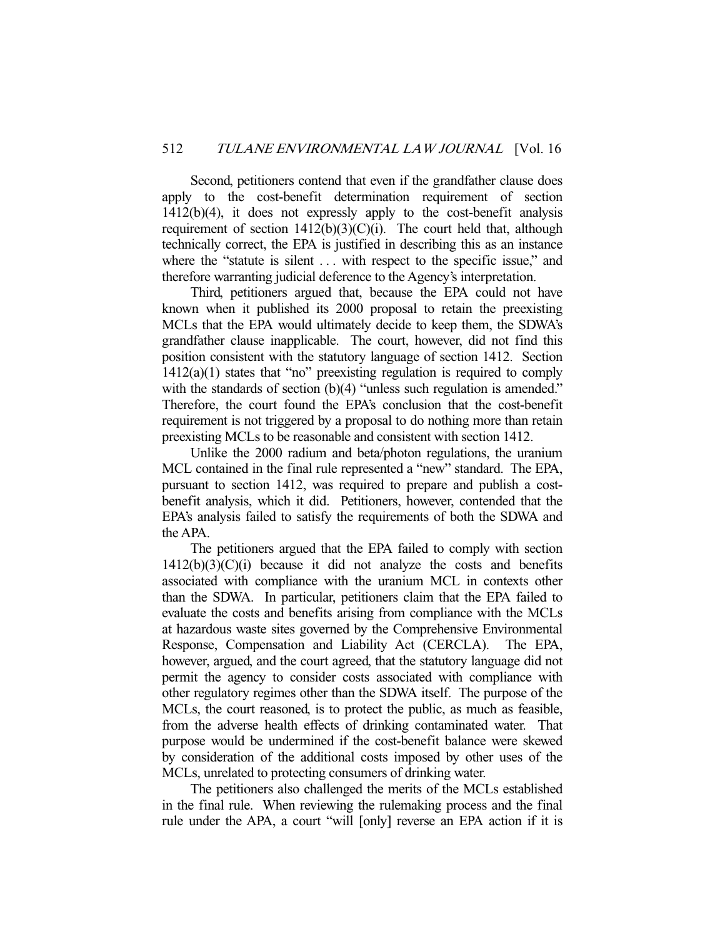Second, petitioners contend that even if the grandfather clause does apply to the cost-benefit determination requirement of section 1412(b)(4), it does not expressly apply to the cost-benefit analysis requirement of section  $1412(b)(3)(C)(i)$ . The court held that, although technically correct, the EPA is justified in describing this as an instance where the "statute is silent ... with respect to the specific issue," and therefore warranting judicial deference to the Agency's interpretation.

 Third, petitioners argued that, because the EPA could not have known when it published its 2000 proposal to retain the preexisting MCLs that the EPA would ultimately decide to keep them, the SDWA's grandfather clause inapplicable. The court, however, did not find this position consistent with the statutory language of section 1412. Section  $1412(a)(1)$  states that "no" preexisting regulation is required to comply with the standards of section (b)(4) "unless such regulation is amended." Therefore, the court found the EPA's conclusion that the cost-benefit requirement is not triggered by a proposal to do nothing more than retain preexisting MCLs to be reasonable and consistent with section 1412.

 Unlike the 2000 radium and beta/photon regulations, the uranium MCL contained in the final rule represented a "new" standard. The EPA, pursuant to section 1412, was required to prepare and publish a costbenefit analysis, which it did. Petitioners, however, contended that the EPA's analysis failed to satisfy the requirements of both the SDWA and the APA.

 The petitioners argued that the EPA failed to comply with section  $1412(b)(3)(C)(i)$  because it did not analyze the costs and benefits associated with compliance with the uranium MCL in contexts other than the SDWA. In particular, petitioners claim that the EPA failed to evaluate the costs and benefits arising from compliance with the MCLs at hazardous waste sites governed by the Comprehensive Environmental Response, Compensation and Liability Act (CERCLA). The EPA, however, argued, and the court agreed, that the statutory language did not permit the agency to consider costs associated with compliance with other regulatory regimes other than the SDWA itself. The purpose of the MCLs, the court reasoned, is to protect the public, as much as feasible, from the adverse health effects of drinking contaminated water. That purpose would be undermined if the cost-benefit balance were skewed by consideration of the additional costs imposed by other uses of the MCLs, unrelated to protecting consumers of drinking water.

 The petitioners also challenged the merits of the MCLs established in the final rule. When reviewing the rulemaking process and the final rule under the APA, a court "will [only] reverse an EPA action if it is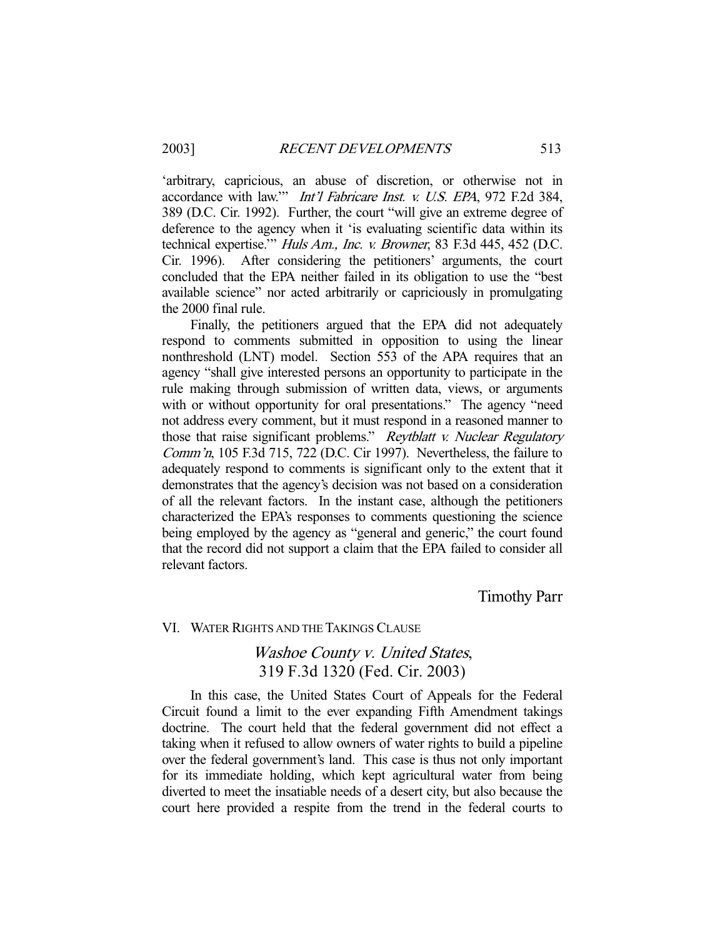'arbitrary, capricious, an abuse of discretion, or otherwise not in accordance with law.'" Int'l Fabricare Inst. v. U.S. EPA, 972 F.2d 384, 389 (D.C. Cir. 1992). Further, the court "will give an extreme degree of deference to the agency when it 'is evaluating scientific data within its technical expertise.'" Huls Am., Inc. v. Browner, 83 F.3d 445, 452 (D.C. Cir. 1996). After considering the petitioners' arguments, the court concluded that the EPA neither failed in its obligation to use the "best available science" nor acted arbitrarily or capriciously in promulgating the 2000 final rule.

 Finally, the petitioners argued that the EPA did not adequately respond to comments submitted in opposition to using the linear nonthreshold (LNT) model. Section 553 of the APA requires that an agency "shall give interested persons an opportunity to participate in the rule making through submission of written data, views, or arguments with or without opportunity for oral presentations." The agency "need not address every comment, but it must respond in a reasoned manner to those that raise significant problems." Reytblatt v. Nuclear Regulatory Comm'n, 105 F.3d 715, 722 (D.C. Cir 1997). Nevertheless, the failure to adequately respond to comments is significant only to the extent that it demonstrates that the agency's decision was not based on a consideration of all the relevant factors. In the instant case, although the petitioners characterized the EPA's responses to comments questioning the science being employed by the agency as "general and generic," the court found that the record did not support a claim that the EPA failed to consider all relevant factors.

Timothy Parr

#### VI. WATER RIGHTS AND THE TAKINGS CLAUSE

### Washoe County v. United States, 319 F.3d 1320 (Fed. Cir. 2003)

 In this case, the United States Court of Appeals for the Federal Circuit found a limit to the ever expanding Fifth Amendment takings doctrine. The court held that the federal government did not effect a taking when it refused to allow owners of water rights to build a pipeline over the federal government's land. This case is thus not only important for its immediate holding, which kept agricultural water from being diverted to meet the insatiable needs of a desert city, but also because the court here provided a respite from the trend in the federal courts to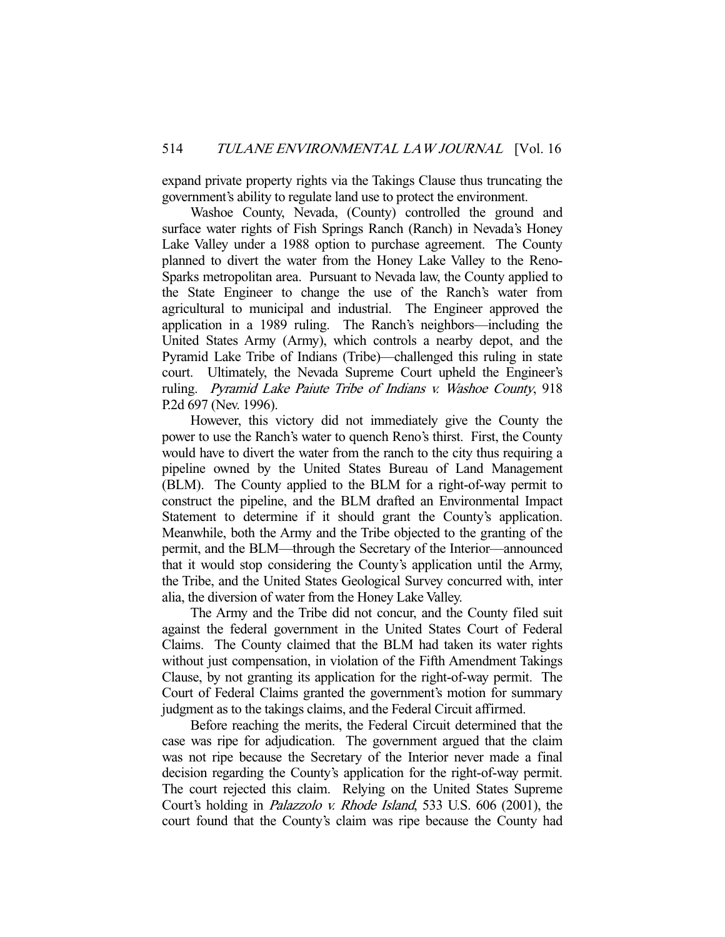expand private property rights via the Takings Clause thus truncating the government's ability to regulate land use to protect the environment.

 Washoe County, Nevada, (County) controlled the ground and surface water rights of Fish Springs Ranch (Ranch) in Nevada's Honey Lake Valley under a 1988 option to purchase agreement. The County planned to divert the water from the Honey Lake Valley to the Reno-Sparks metropolitan area. Pursuant to Nevada law, the County applied to the State Engineer to change the use of the Ranch's water from agricultural to municipal and industrial. The Engineer approved the application in a 1989 ruling. The Ranch's neighbors—including the United States Army (Army), which controls a nearby depot, and the Pyramid Lake Tribe of Indians (Tribe)—challenged this ruling in state court. Ultimately, the Nevada Supreme Court upheld the Engineer's ruling. Pyramid Lake Paiute Tribe of Indians v. Washoe County, 918 P.2d 697 (Nev. 1996).

 However, this victory did not immediately give the County the power to use the Ranch's water to quench Reno's thirst. First, the County would have to divert the water from the ranch to the city thus requiring a pipeline owned by the United States Bureau of Land Management (BLM). The County applied to the BLM for a right-of-way permit to construct the pipeline, and the BLM drafted an Environmental Impact Statement to determine if it should grant the County's application. Meanwhile, both the Army and the Tribe objected to the granting of the permit, and the BLM—through the Secretary of the Interior—announced that it would stop considering the County's application until the Army, the Tribe, and the United States Geological Survey concurred with, inter alia, the diversion of water from the Honey Lake Valley.

 The Army and the Tribe did not concur, and the County filed suit against the federal government in the United States Court of Federal Claims. The County claimed that the BLM had taken its water rights without just compensation, in violation of the Fifth Amendment Takings Clause, by not granting its application for the right-of-way permit. The Court of Federal Claims granted the government's motion for summary judgment as to the takings claims, and the Federal Circuit affirmed.

 Before reaching the merits, the Federal Circuit determined that the case was ripe for adjudication. The government argued that the claim was not ripe because the Secretary of the Interior never made a final decision regarding the County's application for the right-of-way permit. The court rejected this claim. Relying on the United States Supreme Court's holding in Palazzolo v. Rhode Island, 533 U.S. 606 (2001), the court found that the County's claim was ripe because the County had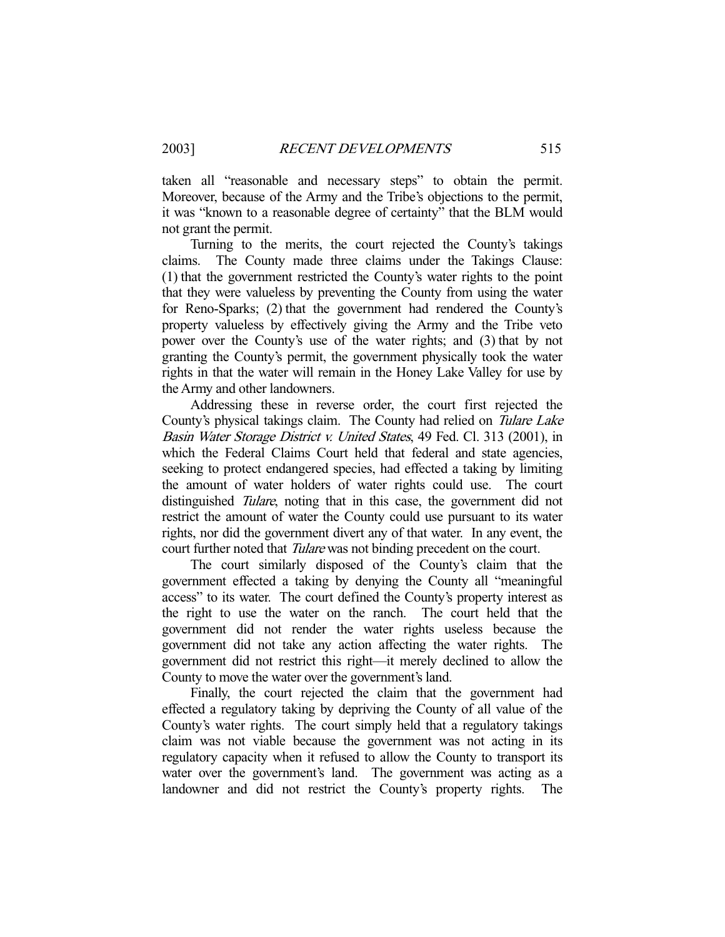taken all "reasonable and necessary steps" to obtain the permit. Moreover, because of the Army and the Tribe's objections to the permit, it was "known to a reasonable degree of certainty" that the BLM would not grant the permit.

 Turning to the merits, the court rejected the County's takings claims. The County made three claims under the Takings Clause: (1) that the government restricted the County's water rights to the point that they were valueless by preventing the County from using the water for Reno-Sparks; (2) that the government had rendered the County's property valueless by effectively giving the Army and the Tribe veto power over the County's use of the water rights; and (3) that by not granting the County's permit, the government physically took the water rights in that the water will remain in the Honey Lake Valley for use by the Army and other landowners.

 Addressing these in reverse order, the court first rejected the County's physical takings claim. The County had relied on Tulare Lake Basin Water Storage District v. United States, 49 Fed. Cl. 313 (2001), in which the Federal Claims Court held that federal and state agencies, seeking to protect endangered species, had effected a taking by limiting the amount of water holders of water rights could use. The court distinguished Tulare, noting that in this case, the government did not restrict the amount of water the County could use pursuant to its water rights, nor did the government divert any of that water. In any event, the court further noted that *Tulare* was not binding precedent on the court.

 The court similarly disposed of the County's claim that the government effected a taking by denying the County all "meaningful access" to its water. The court defined the County's property interest as the right to use the water on the ranch. The court held that the government did not render the water rights useless because the government did not take any action affecting the water rights. The government did not restrict this right—it merely declined to allow the County to move the water over the government's land.

 Finally, the court rejected the claim that the government had effected a regulatory taking by depriving the County of all value of the County's water rights. The court simply held that a regulatory takings claim was not viable because the government was not acting in its regulatory capacity when it refused to allow the County to transport its water over the government's land. The government was acting as a landowner and did not restrict the County's property rights. The